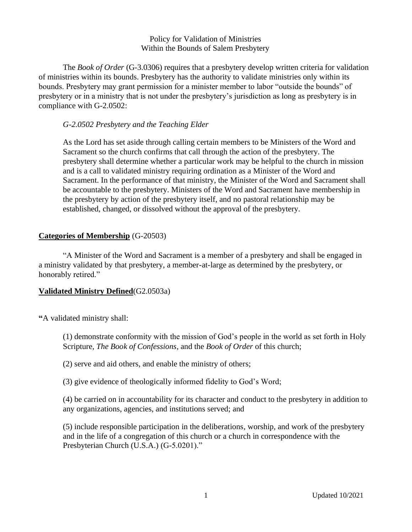#### Policy for Validation of Ministries Within the Bounds of Salem Presbytery

The *Book of Order* (G-3.0306) requires that a presbytery develop written criteria for validation of ministries within its bounds. Presbytery has the authority to validate ministries only within its bounds. Presbytery may grant permission for a minister member to labor "outside the bounds" of presbytery or in a ministry that is not under the presbytery's jurisdiction as long as presbytery is in compliance with G-2.0502:

## *G-2.0502 Presbytery and the Teaching Elder*

As the Lord has set aside through calling certain members to be Ministers of the Word and Sacrament so the church confirms that call through the action of the presbytery. The presbytery shall determine whether a particular work may be helpful to the church in mission and is a call to validated ministry requiring ordination as a Minister of the Word and Sacrament. In the performance of that ministry, the Minister of the Word and Sacrament shall be accountable to the presbytery. Ministers of the Word and Sacrament have membership in the presbytery by action of the presbytery itself, and no pastoral relationship may be established, changed, or dissolved without the approval of the presbytery.

## **Categories of Membership** (G-20503)

"A Minister of the Word and Sacrament is a member of a presbytery and shall be engaged in a ministry validated by that presbytery, a member-at-large as determined by the presbytery, or honorably retired."

# **Validated Ministry Defined**(G2.0503a)

**"**A validated ministry shall:

(1) demonstrate conformity with the mission of God's people in the world as set forth in Holy Scripture, *The Book of Confessions*, and the *Book of Order* of this church;

(2) serve and aid others, and enable the ministry of others;

(3) give evidence of theologically informed fidelity to God's Word;

(4) be carried on in accountability for its character and conduct to the presbytery in addition to any organizations, agencies, and institutions served; and

(5) include responsible participation in the deliberations*,* worship*,* and work of the presbytery and in the life of a congregation of this church or a church in correspondence with the Presbyterian Church (U.S.A.) (G-5.0201)."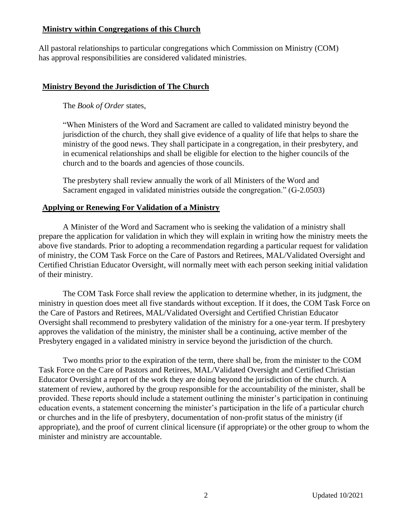## **Ministry within Congregations of this Church**

All pastoral relationships to particular congregations which Commission on Ministry (COM) has approval responsibilities are considered validated ministries.

# **Ministry Beyond the Jurisdiction of The Church**

The *Book of Order* states,

"When Ministers of the Word and Sacrament are called to validated ministry beyond the jurisdiction of the church, they shall give evidence of a quality of life that helps to share the ministry of the good news. They shall participate in a congregation, in their presbytery, and in ecumenical relationships and shall be eligible for election to the higher councils of the church and to the boards and agencies of those councils.

The presbytery shall review annually the work of all Ministers of the Word and Sacrament engaged in validated ministries outside the congregation." (G-2.0503)

# **Applying or Renewing For Validation of a Ministry**

A Minister of the Word and Sacrament who is seeking the validation of a ministry shall prepare the application for validation in which they will explain in writing how the ministry meets the above five standards. Prior to adopting a recommendation regarding a particular request for validation of ministry, the COM Task Force on the Care of Pastors and Retirees, MAL/Validated Oversight and Certified Christian Educator Oversight, will normally meet with each person seeking initial validation of their ministry.

The COM Task Force shall review the application to determine whether, in its judgment, the ministry in question does meet all five standards without exception. If it does, the COM Task Force on the Care of Pastors and Retirees, MAL/Validated Oversight and Certified Christian Educator Oversight shall recommend to presbytery validation of the ministry for a one-year term. If presbytery approves the validation of the ministry, the minister shall be a continuing, active member of the Presbytery engaged in a validated ministry in service beyond the jurisdiction of the church.

Two months prior to the expiration of the term, there shall be, from the minister to the COM Task Force on the Care of Pastors and Retirees, MAL/Validated Oversight and Certified Christian Educator Oversight a report of the work they are doing beyond the jurisdiction of the church. A statement of review, authored by the group responsible for the accountability of the minister, shall be provided. These reports should include a statement outlining the minister's participation in continuing education events, a statement concerning the minister's participation in the life of a particular church or churches and in the life of presbytery, documentation of non-profit status of the ministry (if appropriate), and the proof of current clinical licensure (if appropriate) or the other group to whom the minister and ministry are accountable.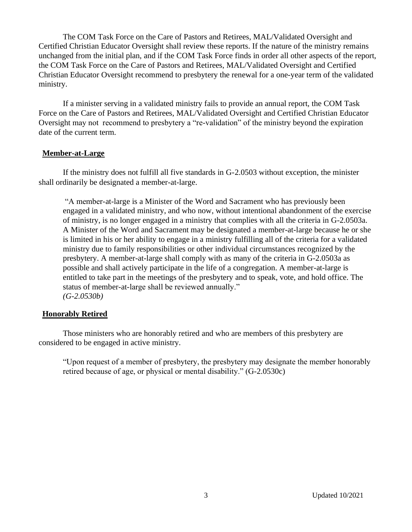The COM Task Force on the Care of Pastors and Retirees, MAL/Validated Oversight and Certified Christian Educator Oversight shall review these reports. If the nature of the ministry remains unchanged from the initial plan, and if the COM Task Force finds in order all other aspects of the report, the COM Task Force on the Care of Pastors and Retirees, MAL/Validated Oversight and Certified Christian Educator Oversight recommend to presbytery the renewal for a one-year term of the validated ministry.

If a minister serving in a validated ministry fails to provide an annual report, the COM Task Force on the Care of Pastors and Retirees, MAL/Validated Oversight and Certified Christian Educator Oversight may not recommend to presbytery a "re-validation" of the ministry beyond the expiration date of the current term.

# **Member-at-Large**

If the ministry does not fulfill all five standards in G-2.0503 without exception, the minister shall ordinarily be designated a member-at-large.

"A member-at-large is a Minister of the Word and Sacrament who has previously been engaged in a validated ministry, and who now, without intentional abandonment of the exercise of ministry, is no longer engaged in a ministry that complies with all the criteria in G-2.0503a. A Minister of the Word and Sacrament may be designated a member-at-large because he or she is limited in his or her ability to engage in a ministry fulfilling all of the criteria for a validated ministry due to family responsibilities or other individual circumstances recognized by the presbytery. A member-at-large shall comply with as many of the criteria in G-2.0503a as possible and shall actively participate in the life of a congregation. A member-at-large is entitled to take part in the meetings of the presbytery and to speak, vote, and hold office. The status of member-at-large shall be reviewed annually." *(G-2.0530b)*

### **Honorably Retired**

Those ministers who are honorably retired and who are members of this presbytery are considered to be engaged in active ministry.

"Upon request of a member of presbytery, the presbytery may designate the member honorably retired because of age, or physical or mental disability." (G-2.0530c)